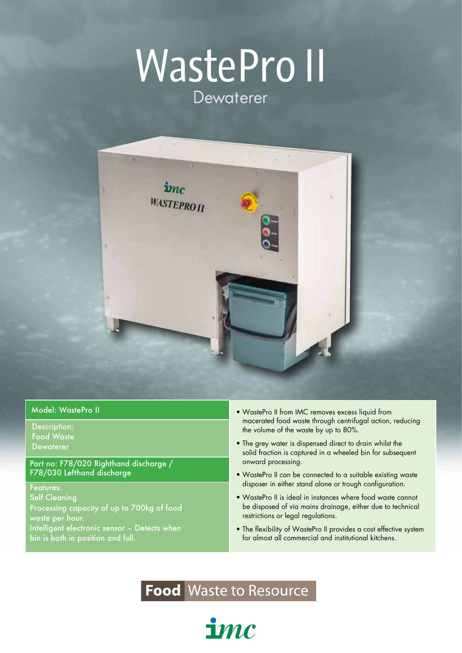# WastePro II Dewaterer



Description: Food Waste Dewaterer

Part no: F78/020 Righthand discharge / F78/030 Lefthand discharge

Features: Self Cleaning Processing capacity of up to 700kg of food waste per hour. Intelligent electronic sensor – Detects when bin is both in position and full.

- Model: WastePro II Model: WastePro II WastePro II from IMC removes excess liquid from macerated food waste through centrifugal action, reducing the volume of the waste by up to 80%.
	- The grey water is dispensed direct to drain whilst the solid fraction is captured in a wheeled bin for subsequent onward processing.
	- WastePro II can be connected to a suitable existing waste disposer in either stand alone or trough configuration.
	- WastePro II is ideal in instances where food waste cannot be disposed of via mains drainage, either due to technical restrictions or legal regulations.
	- The flexibility of WastePro II provides a cost effective system for almost all commercial and institutional kitchens.

#### **Food** Waste to Resource

 $\mathbf{1}mc$